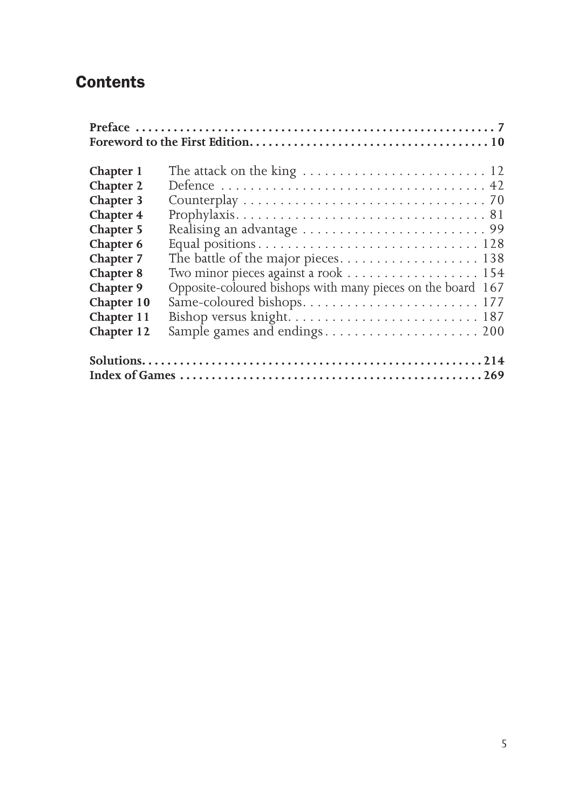# **Contents**

| Chapter 1<br>Chapter 2 | The attack on the king $\ldots \ldots \ldots \ldots \ldots \ldots \ldots \ldots 12$ |
|------------------------|-------------------------------------------------------------------------------------|
| Chapter 3              |                                                                                     |
| Chapter 4              |                                                                                     |
| Chapter 5              |                                                                                     |
| Chapter 6              |                                                                                     |
| Chapter 7              |                                                                                     |
| Chapter 8              | Two minor pieces against a rook $\ldots \ldots \ldots \ldots \ldots 154$            |
| Chapter 9              | Opposite-coloured bishops with many pieces on the board 167                         |
| Chapter 10             |                                                                                     |
| Chapter 11             |                                                                                     |
| Chapter 12             | Sample games and endings 200                                                        |
|                        |                                                                                     |
|                        |                                                                                     |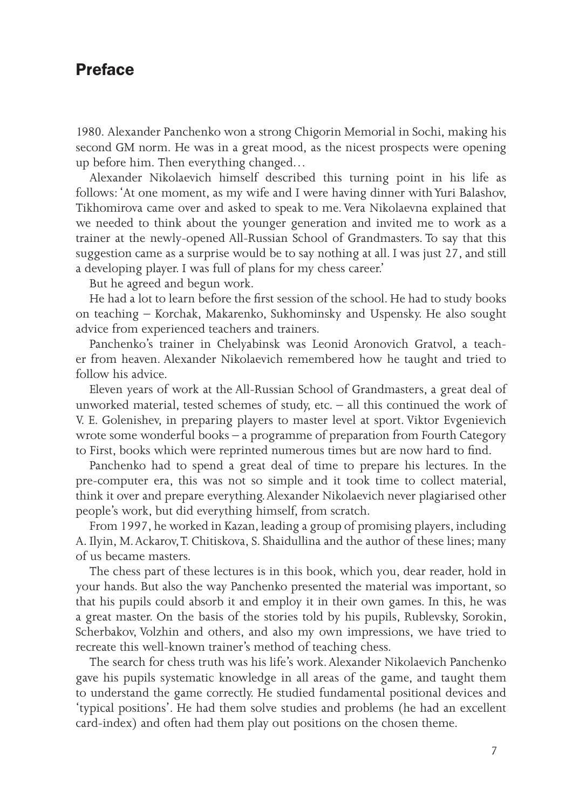# **Preface**

1980. Alexander Panchenko won a strong Chigorin Memorial in Sochi, making his second GM norm. He was in a great mood, as the nicest prospects were opening up before him. Then everything changed…

Alexander Nikolaevich himself described this turning point in his life as follows: 'At one moment, as my wife and I were having dinner with Yuri Balashov, Tikhomirova came over and asked to speak to me. Vera Nikolaevna explained that we needed to think about the younger generation and invited me to work as a trainer at the newly-opened All-Russian School of Grandmasters. To say that this suggestion came as a surprise would be to say nothing at all. I was just 27, and still a developing player. I was full of plans for my chess career.'

But he agreed and begun work.

He had a lot to learn before the first session of the school. He had to study books on teaching – Korchak, Makarenko, Sukhominsky and Uspensky. He also sought advice from experienced teachers and trainers.

Panchenko's trainer in Chelyabinsk was Leonid Aronovich Gratvol, a teacher from heaven. Alexander Nikolaevich remembered how he taught and tried to follow his advice.

Eleven years of work at the All-Russian School of Grandmasters, a great deal of unworked material, tested schemes of study, etc. – all this continued the work of V. E. Golenishev, in preparing players to master level at sport. Viktor Evgenievich wrote some wonderful books – a programme of preparation from Fourth Category to First, books which were reprinted numerous times but are now hard to find.

Panchenko had to spend a great deal of time to prepare his lectures. In the pre-computer era, this was not so simple and it took time to collect material, think it over and prepare everything. Alexander Nikolaevich never plagiarised other people's work, but did everything himself, from scratch.

From 1997, he worked in Kazan, leading a group of promising players, including A. Ilyin, M. Ackarov, T. Chitiskova, S. Shaidullina and the author of these lines; many of us became masters.

The chess part of these lectures is in this book, which you, dear reader, hold in your hands. But also the way Panchenko presented the material was important, so that his pupils could absorb it and employ it in their own games. In this, he was a great master. On the basis of the stories told by his pupils, Rublevsky, Sorokin, Scherbakov, Volzhin and others, and also my own impressions, we have tried to recreate this well-known trainer's method of teaching chess.

The search for chess truth was his life's work. Alexander Nikolaevich Panchenko gave his pupils systematic knowledge in all areas of the game, and taught them to understand the game correctly. He studied fundamental positional devices and 'typical positions'. He had them solve studies and problems (he had an excellent card-index) and often had them play out positions on the chosen theme.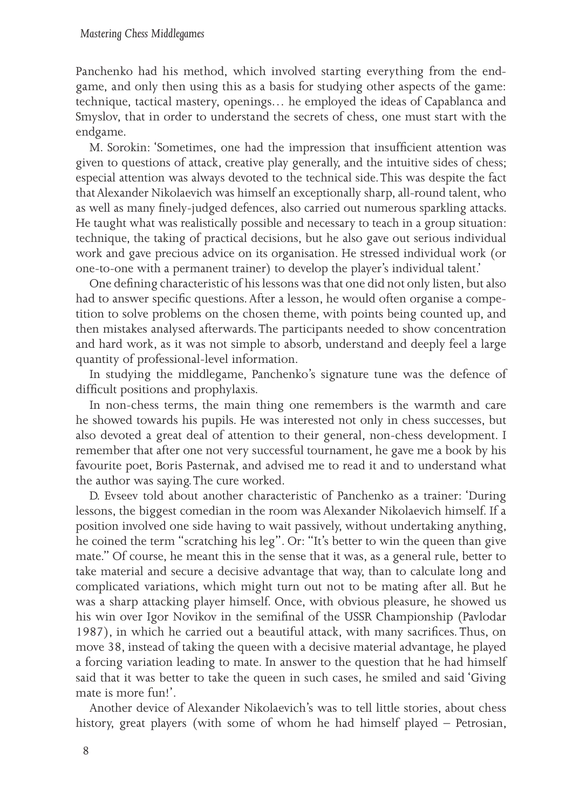Panchenko had his method, which involved starting everything from the endgame, and only then using this as a basis for studying other aspects of the game: technique, tactical mastery, openings… he employed the ideas of Capablanca and Smyslov, that in order to understand the secrets of chess, one must start with the endgame.

M. Sorokin: 'Sometimes, one had the impression that insufficient attention was given to questions of attack, creative play generally, and the intuitive sides of chess; especial attention was always devoted to the technical side. This was despite the fact that Alexander Nikolaevich was himself an exceptionally sharp, all-round talent, who as well as many finely-judged defences, also carried out numerous sparkling attacks. He taught what was realistically possible and necessary to teach in a group situation: technique, the taking of practical decisions, but he also gave out serious individual work and gave precious advice on its organisation. He stressed individual work (or one-to-one with a permanent trainer) to develop the player's individual talent.'

One defining characteristic of his lessons was that one did not only listen, but also had to answer specific questions.After a lesson, he would often organise a competition to solve problems on the chosen theme, with points being counted up, and then mistakes analysed afterwards. The participants needed to show concentration and hard work, as it was not simple to absorb, understand and deeply feel a large quantity of professional-level information.

In studying the middlegame, Panchenko's signature tune was the defence of difficult positions and prophylaxis.

In non-chess terms, the main thing one remembers is the warmth and care he showed towards his pupils. He was interested not only in chess successes, but also devoted a great deal of attention to their general, non-chess development. I remember that after one not very successful tournament, he gave me a book by his favourite poet, Boris Pasternak, and advised me to read it and to understand what the author was saying. The cure worked.

D. Evseev told about another characteristic of Panchenko as a trainer: 'During lessons, the biggest comedian in the room was Alexander Nikolaevich himself. If a position involved one side having to wait passively, without undertaking anything, he coined the term "scratching his leg". Or: "It's better to win the queen than give mate." Of course, he meant this in the sense that it was, as a general rule, better to take material and secure a decisive advantage that way, than to calculate long and complicated variations, which might turn out not to be mating after all. But he was a sharp attacking player himself. Once, with obvious pleasure, he showed us his win over Igor Novikov in the semifinal of the USSR Championship (Pavlodar 1987), in which he carried out a beautiful attack, with many sacrifices. Thus, on move 38, instead of taking the queen with a decisive material advantage, he played a forcing variation leading to mate. In answer to the question that he had himself said that it was better to take the queen in such cases, he smiled and said 'Giving mate is more fun!'.

Another device of Alexander Nikolaevich's was to tell little stories, about chess history, great players (with some of whom he had himself played – Petrosian,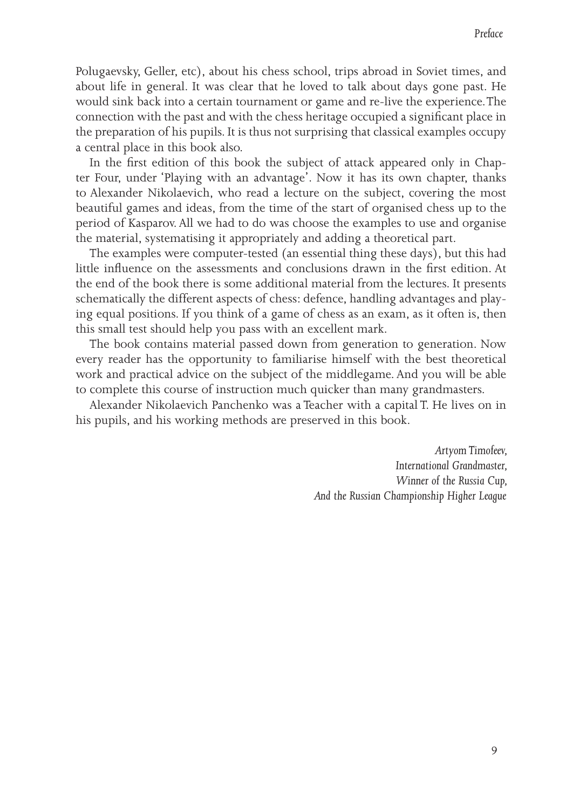Polugaevsky, Geller, etc), about his chess school, trips abroad in Soviet times, and about life in general. It was clear that he loved to talk about days gone past. He would sink back into a certain tournament or game and re-live the experience. The connection with the past and with the chess heritage occupied a significant place in the preparation of his pupils. It is thus not surprising that classical examples occupy a central place in this book also.

In the first edition of this book the subject of attack appeared only in Chapter Four, under 'Playing with an advantage'. Now it has its own chapter, thanks to Alexander Nikolaevich, who read a lecture on the subject, covering the most beautiful games and ideas, from the time of the start of organised chess up to the period of Kasparov. All we had to do was choose the examples to use and organise the material, systematising it appropriately and adding a theoretical part.

The examples were computer-tested (an essential thing these days), but this had little influence on the assessments and conclusions drawn in the first edition. At the end of the book there is some additional material from the lectures. It presents schematically the different aspects of chess: defence, handling advantages and playing equal positions. If you think of a game of chess as an exam, as it often is, then this small test should help you pass with an excellent mark.

The book contains material passed down from generation to generation. Now every reader has the opportunity to familiarise himself with the best theoretical work and practical advice on the subject of the middlegame. And you will be able to complete this course of instruction much quicker than many grandmasters.

Alexander Nikolaevich Panchenko was a Teacher with a capital T. He lives on in his pupils, and his working methods are preserved in this book.

> *Artyom Timofeev, International Grandmaster, Winner of the Russia Cup, And the Russian Championship Higher League*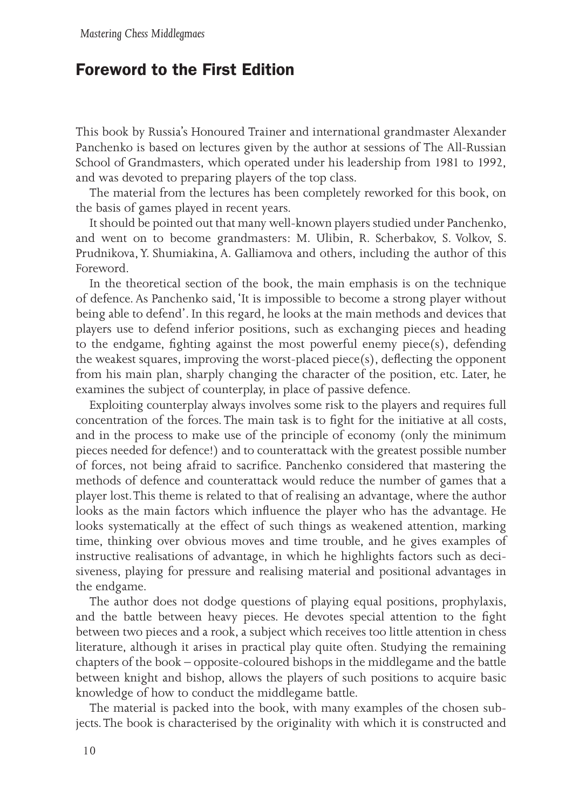# **Foreword to the First Edition**

This book by Russia's Honoured Trainer and international grandmaster Alexander Panchenko is based on lectures given by the author at sessions of The All-Russian School of Grandmasters, which operated under his leadership from 1981 to 1992, and was devoted to preparing players of the top class.

The material from the lectures has been completely reworked for this book, on the basis of games played in recent years.

It should be pointed out that many well-known players studied under Panchenko, and went on to become grandmasters: M. Ulibin, R. Scherbakov, S. Volkov, S. Prudnikova, Y. Shumiakina, A. Galliamova and others, including the author of this Foreword.

In the theoretical section of the book, the main emphasis is on the technique of defence. As Panchenko said, 'It is impossible to become a strong player without being able to defend'. In this regard, he looks at the main methods and devices that players use to defend inferior positions, such as exchanging pieces and heading to the endgame, fighting against the most powerful enemy piece(s), defending the weakest squares, improving the worst-placed piece(s), deflecting the opponent from his main plan, sharply changing the character of the position, etc. Later, he examines the subject of counterplay, in place of passive defence.

Exploiting counterplay always involves some risk to the players and requires full concentration of the forces. The main task is to fight for the initiative at all costs, and in the process to make use of the principle of economy (only the minimum pieces needed for defence!) and to counterattack with the greatest possible number of forces, not being afraid to sacrifice. Panchenko considered that mastering the methods of defence and counterattack would reduce the number of games that a player lost. This theme is related to that of realising an advantage, where the author looks as the main factors which influence the player who has the advantage. He looks systematically at the effect of such things as weakened attention, marking time, thinking over obvious moves and time trouble, and he gives examples of instructive realisations of advantage, in which he highlights factors such as decisiveness, playing for pressure and realising material and positional advantages in the endgame.

The author does not dodge questions of playing equal positions, prophylaxis, and the battle between heavy pieces. He devotes special attention to the fight between two pieces and a rook, a subject which receives too little attention in chess literature, although it arises in practical play quite often. Studying the remaining chapters of the book – opposite-coloured bishops in the middlegame and the battle between knight and bishop, allows the players of such positions to acquire basic knowledge of how to conduct the middlegame battle.

The material is packed into the book, with many examples of the chosen subjects. The book is characterised by the originality with which it is constructed and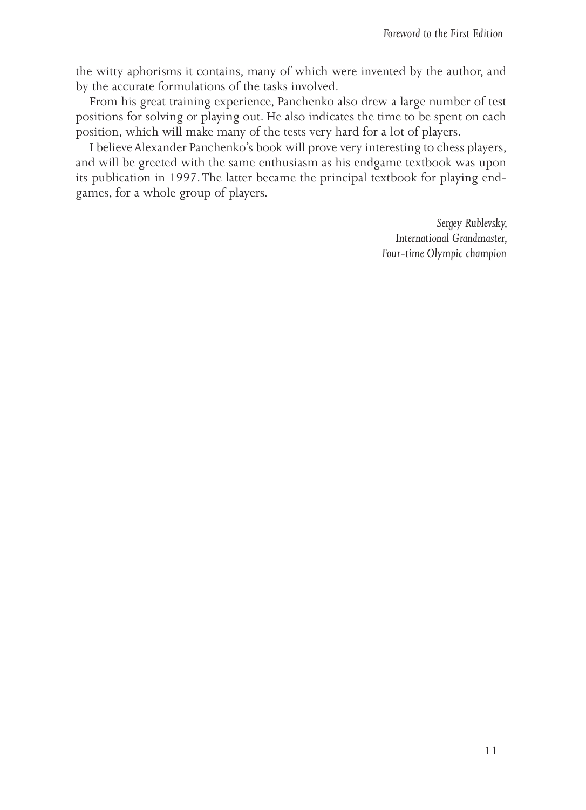the witty aphorisms it contains, many of which were invented by the author, and by the accurate formulations of the tasks involved.

From his great training experience, Panchenko also drew a large number of test positions for solving or playing out. He also indicates the time to be spent on each position, which will make many of the tests very hard for a lot of players.

I believe Alexander Panchenko's book will prove very interesting to chess players, and will be greeted with the same enthusiasm as his endgame textbook was upon its publication in 1997. The latter became the principal textbook for playing endgames, for a whole group of players.

> *Sergey Rublevsky, International Grandmaster, Four-time Olympic champion*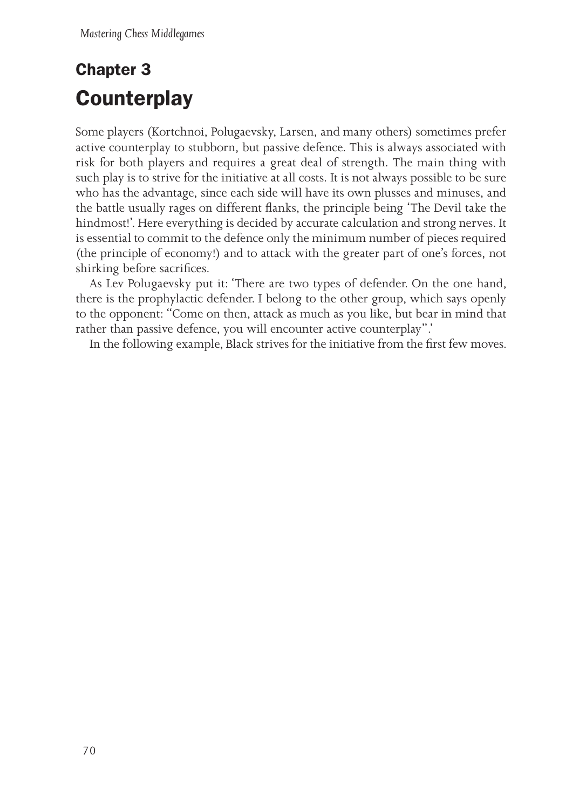# **Chapter 3 Counterplay**

Some players (Kortchnoi, Polugaevsky, Larsen, and many others) sometimes prefer active counterplay to stubborn, but passive defence. This is always associated with risk for both players and requires a great deal of strength. The main thing with such play is to strive for the initiative at all costs. It is not always possible to be sure who has the advantage, since each side will have its own plusses and minuses, and the battle usually rages on different flanks, the principle being 'The Devil take the hindmost!'. Here everything is decided by accurate calculation and strong nerves. It is essential to commit to the defence only the minimum number of pieces required (the principle of economy!) and to attack with the greater part of one's forces, not shirking before sacrifices.

As Lev Polugaevsky put it: 'There are two types of defender. On the one hand, there is the prophylactic defender. I belong to the other group, which says openly to the opponent: "Come on then, attack as much as you like, but bear in mind that rather than passive defence, you will encounter active counterplay".'

In the following example, Black strives for the initiative from the first few moves.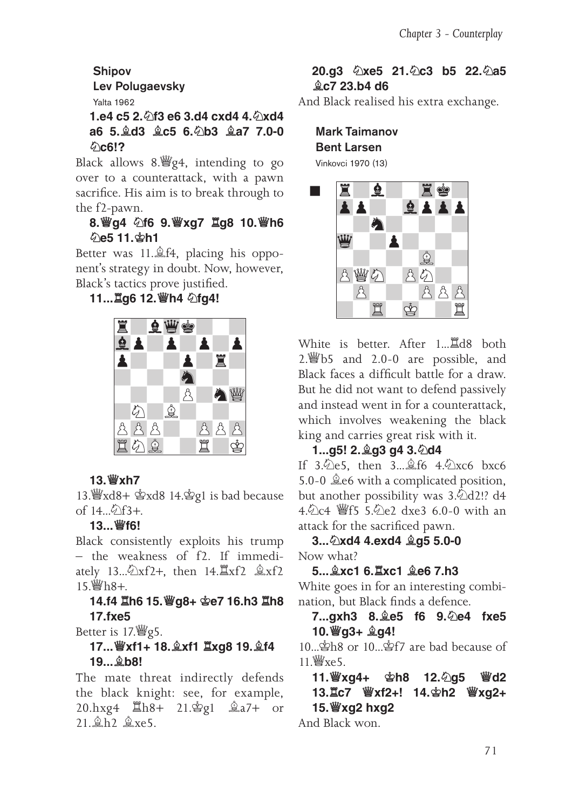#### Shipov Lev Polugaevsky

Yalta 1962

#### **1.e4 c5 2.♘f3 e6 3.d4 cxd4 4.♘xd4 a6 5.♗d3 ♗c5 6.♘b3 ♗a7 7.0-0 ♘c6!?**

Black allows  $8.$ <sup>w</sup>g<sub>4</sub>, intending to go over to a counterattack, with a pawn sacrifice. His aim is to break through to the f2-pawn.

### **8.♕g4 ♘f6 9.♕xg7 ♖g8 10.♕h6 ♘e5 11.♔h1**

Better was 11.♗f4, placing his opponent's strategy in doubt. Now, however, Black's tactics prove justified.

### **11...♖g6 12.♕h4 ♘fg4!**



### **13.♕xh7**

13.♕xd8+ ♔xd8 14.♔g1 is bad because of  $14...2$ f3+.

### **13...♕f6!**

Black consistently exploits his trump – the weakness of f2. If immediately 13...♘xf2+, then 14.♖xf2 ♗xf2 15.♕h8+.

#### **14.f4 ♖h6 15.♕g8+ ♔e7 16.h3 ♖h8 17.fxe5**

Better is 17.♕g5.

#### **17...♕xf1+ 18.♗xf1 ♖xg8 19.♗f4 19...♗b8!**

The mate threat indirectly defends the black knight: see, for example, 20.hxg4 ♖h8+ 21.♔g1 ♗a7+ or 21.♗h2 ♗xe5.

### **20.g3 ♘xe5 21.♘c3 b5 22.♘a5 ♗c7 23.b4 d6**

And Black realised his extra exchange.

### Mark Taimanov Bent Larsen

Vinkovci 1970 (13)



White is better. After 1...♖d8 both 2.♕b5 and 2.0-0 are possible, and Black faces a difficult battle for a draw. But he did not want to defend passively and instead went in for a counterattack, which involves weakening the black king and carries great risk with it.

# **1...g5! 2.♗g3 g4 3.♘d4**

If 3.2e5, then 3... \$f6 4.2 xc6 bxc6 5.0-0 ♗e6 with a complicated position, but another possibility was 3.♘d2!? d4 4. $Q$ c4  $\mathcal{C}$ f5 5. $Q$ e2 dxe3 6.0-0 with an attack for the sacrificed pawn.

**3...♘xd4 4.exd4 ♗g5 5.0-0** Now what?

### **5...♗xc1 6.♖xc1 ♗e6 7.h3**

White goes in for an interesting combination, but Black finds a defence.

**7...gxh3 8.♗e5 f6 9.♘e4 fxe5 10.♕g3+ ♗g4!**

10...♔h8 or 10...♔f7 are bad because of 11.♕xe5.

**11.♕xg4+ ♔h8 12.♘g5 ♕d2 13.♖c7 ♕xf2+! 14.♔h2 ♕xg2+ 15.♕xg2 hxg2**

And Black won.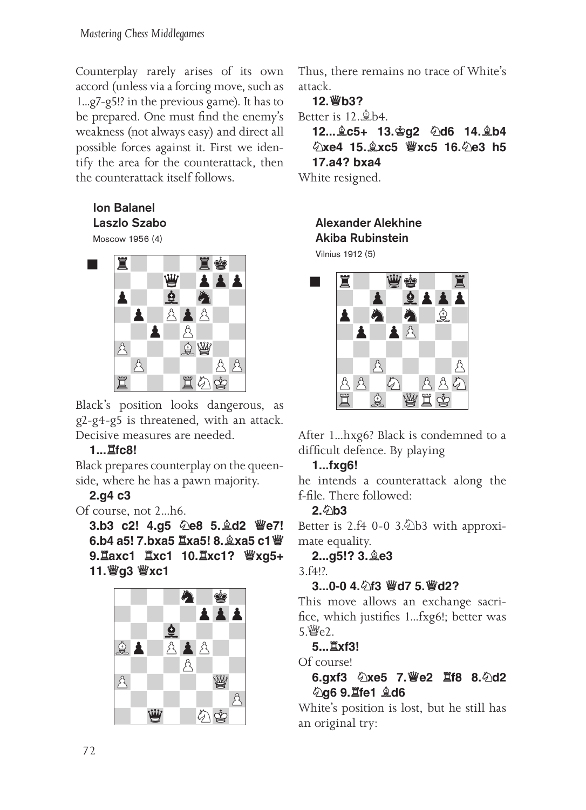Counterplay rarely arises of its own accord (unless via a forcing move, such as 1...g7-g5!? in the previous game). It has to be prepared. One must find the enemy's weakness (not always easy) and direct all possible forces against it. First we identify the area for the counterattack, then the counterattack itself follows.

# Ion Balanel Laszlo Szabo

Moscow 1956 (4)



Black's position looks dangerous, as g2-g4-g5 is threatened, with an attack. Decisive measures are needed.

# **1...♖fc8!**

Black prepares counterplay on the queenside, where he has a pawn majority.

# **2.g4 c3**

Of course, not 2...h6.

**3.b3 c2! 4.g5 ♘e8 5.♗d2 ♕e7! 6.b4 a5! 7.bxa5 ♖xa5! 8.♗xa5 c1♕ 9.♖axc1 ♖xc1 10.♖xc1? ♕xg5+ 11.♕g3 ♕xc1**



Thus, there remains no trace of White's attack.

#### **12.♕b3?** Better is 12.♗b4. **12...♗c5+ 13.♔g2 ♘d6 14.♗b4 ♘xe4 15.♗xc5 ♕xc5 16.♘e3 h5 17.a4? bxa4** White resigned.

# Alexander Alekhine Akiba Rubinstein

Vilnius 1912 (5)



After 1...hxg6? Black is condemned to a difficult defence. By playing

# **1...fxg6!**

he intends a counterattack along the f-file. There followed:

# $2.6$ b3

Better is  $2.f4$  0-0  $3.\overline{\triangle}$ b3 with approximate equality.

**2...g5!? 3.♗e3** 3.f4!?.

# **3...0-0 4.♘f3 ♕d7 5.♕d2?**

This move allows an exchange sacrifice, which justifies 1...fxg6!; better was 5.♕e2.

**5...♖xf3!** 

Of course!

# **6.gxf3 ♘xe5 7.♕e2 ♖f8 8.♘d2 ♘g6 9.♖fe1 ♗d6**

White's position is lost, but he still has an original try: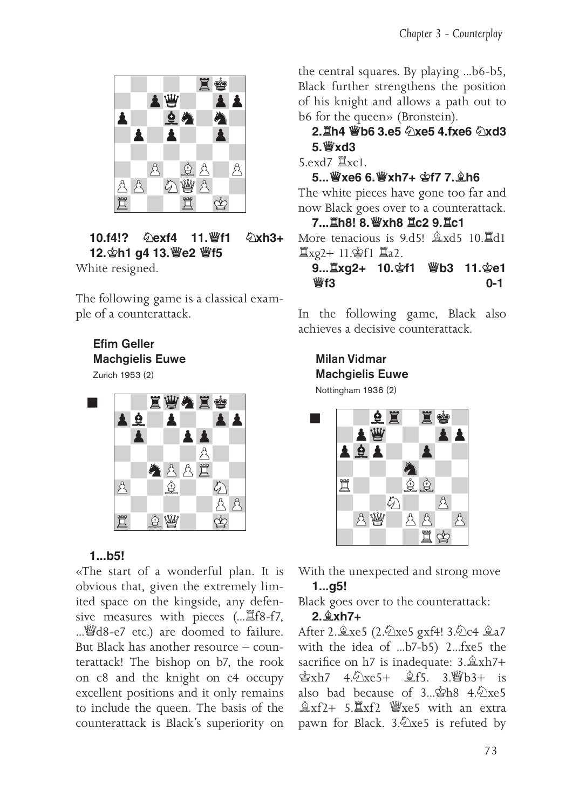

### **10.f4!? ♘exf4 11.♕f1 ♘xh3+ 12.♔h1 g4 13.♕e2 ♕f5**

White resigned.

The following game is a classical example of a counterattack.

# Efim Geller Machgielis Euwe

Zurich 1953 (2)



#### **1...b5!**

«The start of a wonderful plan. It is obvious that, given the extremely limited space on the kingside, any defensive measures with pieces (... 工f8-f7, ...♕d8-e7 etc.) are doomed to failure. But Black has another resource – counterattack! The bishop on b7, the rook on c8 and the knight on c4 occupy excellent positions and it only remains to include the queen. The basis of the counterattack is Black's superiority on the central squares. By playing ...b6-b5, Black further strengthens the position of his knight and allows a path out to b6 for the queen» (Bronstein).

**2.♖h4 ♕b6 3.e5 ♘xe5 4.fxe6 ♘xd3 5.♕xd3**

5.exd7 ♖xc1.

**5...♕xe6 6.♕xh7+ ♔f7 7.♗h6**

The white pieces have gone too far and now Black goes over to a counterattack.

### **7...♖h8! 8.♕xh8 ♖c2 9.♖c1**

More tenacious is 9.d5! ♗xd5 10.♖d1 ♖xg2+ 11.♔f1 ♖a2.

**9...♖xg2+ 10.♔f1 ♕b3 11.♔e1 ♕f3 0-1**

In the following game, Black also achieves a decisive counterattack.

# Milan Vidmar Machgielis Euwe

Nottingham 1936 (2)



With the unexpected and strong move **1...g5!**

Black goes over to the counterattack: **2.♗xh7+**

After 2.♗xe5 (2.♘xe5 gxf4! 3.♘c4 ♗a7 with the idea of ...b7-b5) 2...fxe5 the sacrifice on h7 is inadequate: 3.♗xh7+ ♔xh7 4.♘xe5+ ♗f5. 3.♕b3+ is also bad because of 3...♔h8 4.♘xe5 ♗xf2+ 5.♖xf2 ♕xe5 with an extra pawn for Black. 3.♘xe5 is refuted by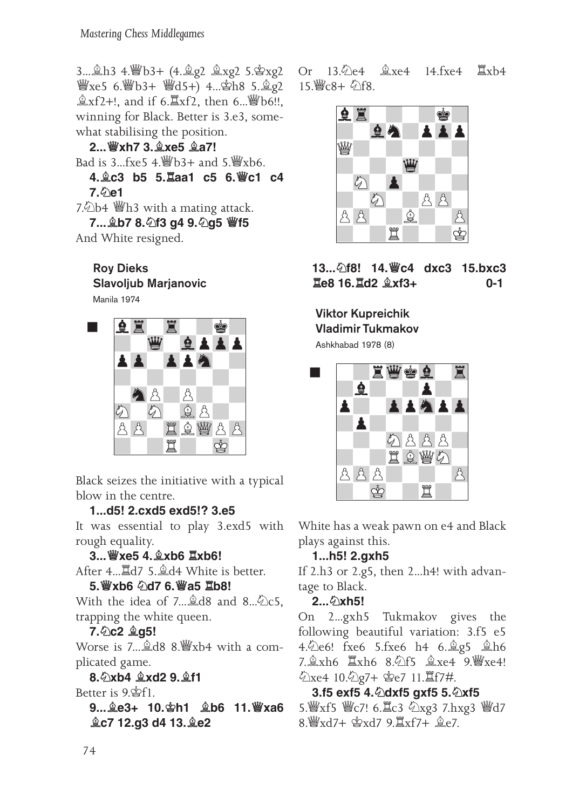3...♗h3 4.♕b3+ (4.♗g2 ♗xg2 5.♔xg2 ♕xe5 6.♕b3+ ♕d5+) 4...♔h8 5.♗g2 ♗xf2+!, and if 6.♖xf2, then 6...♕b6!!, winning for Black. Better is 3.e3, somewhat stabilising the position.

**2...♕xh7 3.♗xe5 ♗a7!** Bad is 3...fxe5  $4\frac{W}{2}b3+$  and  $5\frac{W}{2}$ xb6.

**4.♗c3 b5 5.♖aa1 c5 6.♕c1 c4 7.♘e1**

7.♘b4 ♕h3 with a mating attack. **7...♗b7 8.♘f3 g4 9.♘g5 ♕f5** 

And White resigned.

#### Roy Dieks Slavoljub Marjanovic Manila 1974



Black seizes the initiative with a typical blow in the centre.

# **1...d5! 2.cxd5 exd5!? 3.e5**

It was essential to play 3.exd5 with rough equality.

**3...♕xe5 4.♗xb6 ♖xb6!**

After 4...♖d7 5.♗d4 White is better. **5.♕xb6 ♘d7 6.♕a5 ♖b8!** 

With the idea of  $7 \dots \hat{2} d8$  and  $8 \dots \hat{2} c5$ , trapping the white queen.

**7.♘c2 ♗g5!**

Worse is 7...♗d8 8.♕xb4 with a complicated game.

**8.♘xb4 ♗xd2 9.♗f1** 

Better is 9.♔f1.

**9...♗e3+ 10.♔h1 ♗b6 11.♕xa6 ♗c7 12.g3 d4 13.♗e2**

Or 13.♘e4 ♗xe4 14.fxe4 ♖xb4 15. 響c8 + 分f8.



**13...♘f8! 14.♕c4 dxc3 15.bxc3 ♖e8 16.♖d2 ♗xf3+ 0-1** 

Viktor Kupreichik Vladimir Tukmakov Ashkhabad 1978 (8)



White has a weak pawn on e4 and Black plays against this.

# **1...h5! 2.gxh5**

If 2.h3 or 2.g5, then 2...h4! with advantage to Black.

# **2...♘xh5!**

On 2...gxh5 Tukmakov gives the following beautiful variation: 3.f5 e5 4.♘e6! fxe6 5.fxe6 h4 6.♗g5 ♗h6 7.♗xh6 ♖xh6 8.♘f5 ♗xe4 9.♕xe4! ♘xe4 10.♘g7+ ♔e7 11.♖f7#.

**3.f5 exf5 4.♘dxf5 gxf5 5.♘xf5**  5.♕xf5 ♕c7! 6.♖c3 ♘xg3 7.hxg3 ♕d7 8.♕xd7+ ♔xd7 9.♖xf7+ ♗e7.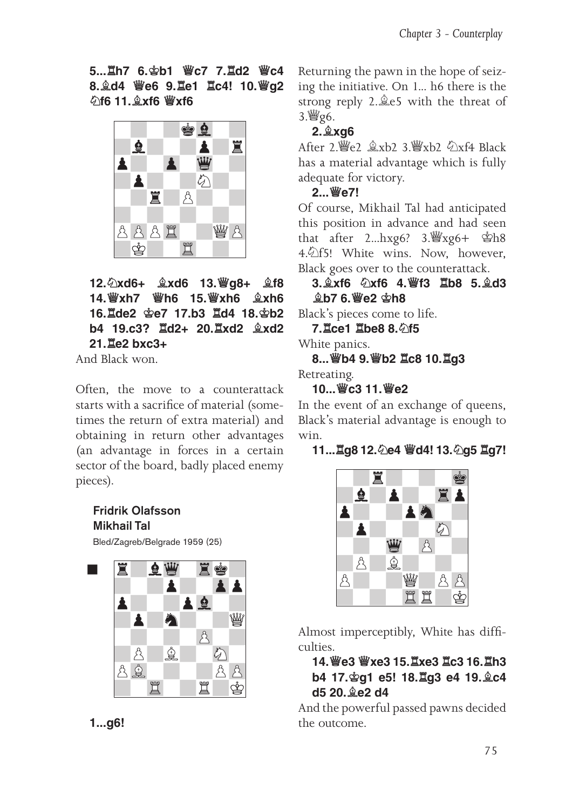#### **5...♖h7 6.♔b1 ♕c7 7.♖d2 ♕c4 8.♗d4 ♕e6 9.♖e1 ♖c4! 10.♕g2 ♘f6 11.♗xf6 ♕xf6**



**12.♘xd6+ ♗xd6 13.♕g8+ ♗f8 14.♕xh7 ♕h6 15.♕xh6 ♗xh6 16.♖de2 ♔e7 17.b3 ♖d4 18.♔b2 b4 19.c3? ♖d2+ 20.♖xd2 ♗xd2 21.♖e2 bxc3+**

And Black won.

Often, the move to a counterattack starts with a sacrifice of material (sometimes the return of extra material) and obtaining in return other advantages (an advantage in forces in a certain sector of the board, badly placed enemy pieces).

### Fridrik Olafsson Mikhail Tal

Bled/Zagreb/Belgrade 1959 (25)



**1...g6!** 

Returning the pawn in the hope of seizing the initiative. On 1... h6 there is the strong reply 2.♗e5 with the threat of 3.♕g6.

### **2.♗xg6**

After 2. 曾e2 拿xb2 3. 曾xb2 匀xf4 Black has a material advantage which is fully adequate for victory.

### **2...♕e7!**

Of course, Mikhail Tal had anticipated this position in advance and had seen that after  $2...h$ xg6?  $3.\mathcal{W}$ xg6+  $\Phi$ h8 4.  $\triangle$ f5! White wins. Now, however, Black goes over to the counterattack.

### **3.♗xf6 ♘xf6 4.♕f3 ♖b8 5.♗d3 ♗b7 6.♕e2 ♔h8**

Black's pieces come to life.

**7.♖ce1 ♖be8 8.♘f5**

White panics.

**8...♕b4 9.♕b2 ♖c8 10.♖g3** Retreating.

#### **10...♕c3 11.♕e2**

In the event of an exchange of queens, Black's material advantage is enough to win.

### **11...♖g8 12.♘e4 ♕d4! 13.♘g5 ♖g7!**



Almost imperceptibly, White has difficulties.

### **14.♕e3 ♕xe3 15.♖xe3 ♖c3 16.♖h3 b4 17.♔g1 e5! 18.♖g3 e4 19.♗c4 d5 20.♗e2 d4**

And the powerful passed pawns decided the outcome.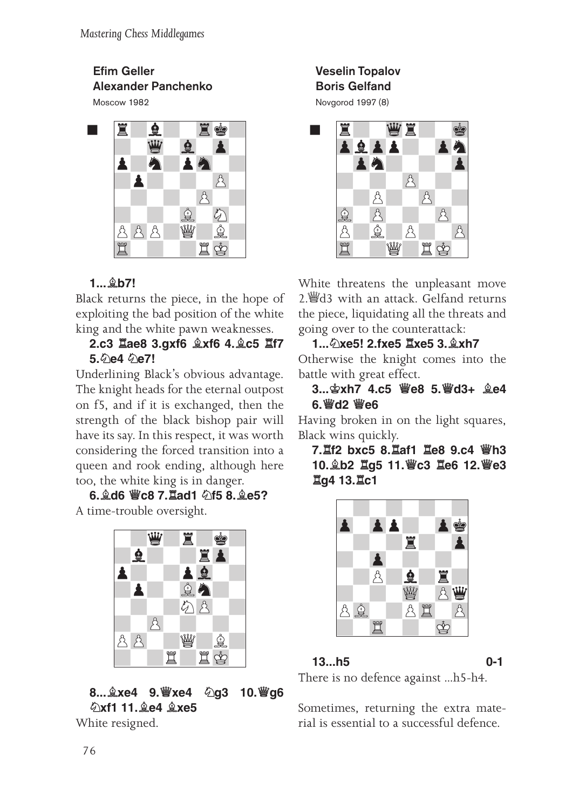# Efim Geller Alexander Panchenko

Moscow 1982



### **1...♗b7!**

Black returns the piece, in the hope of exploiting the bad position of the white king and the white pawn weaknesses.

### **2.c3 ♖ae8 3.gxf6 ♗xf6 4.♗c5 ♖f7 5.♘e4 ♘e7!**

Underlining Black's obvious advantage. The knight heads for the eternal outpost on f5, and if it is exchanged, then the strength of the black bishop pair will have its say. In this respect, it was worth considering the forced transition into a queen and rook ending, although here too, the white king is in danger.

**6.♗d6 ♕c8 7.♖ad1 ♘f5 8.♗e5?** A time-trouble oversight.



**8...♗xe4 9.♕xe4 ♘g3 10.♕g6 ♘xf1 11.♗e4 ♗xe5**  White resigned.

#### Veselin Topalov Boris Gelfand

Novgorod 1997 (8)



White threatens the unpleasant move 2.♕d3 with an attack. Gelfand returns the piece, liquidating all the threats and going over to the counterattack:

#### **1...♘xe5! 2.fxe5 ♖xe5 3.♗xh7** Otherwise the knight comes into the battle with great effect.

### **3...♔xh7 4.c5 ♕e8 5.♕d3+ ♗e4 6.♕d2 ♕e6**

Having broken in on the light squares, Black wins quickly.

**7.♖f2 bxc5 8.♖af1 ♖e8 9.c4 ♕h3 10.♗b2 ♖g5 11.♕c3 ♖e6 12.♕e3 ♖g4 13.♖c1** 



# **13...h5 0-1**

There is no defence against ...h5-h4.

Sometimes, returning the extra material is essential to a successful defence.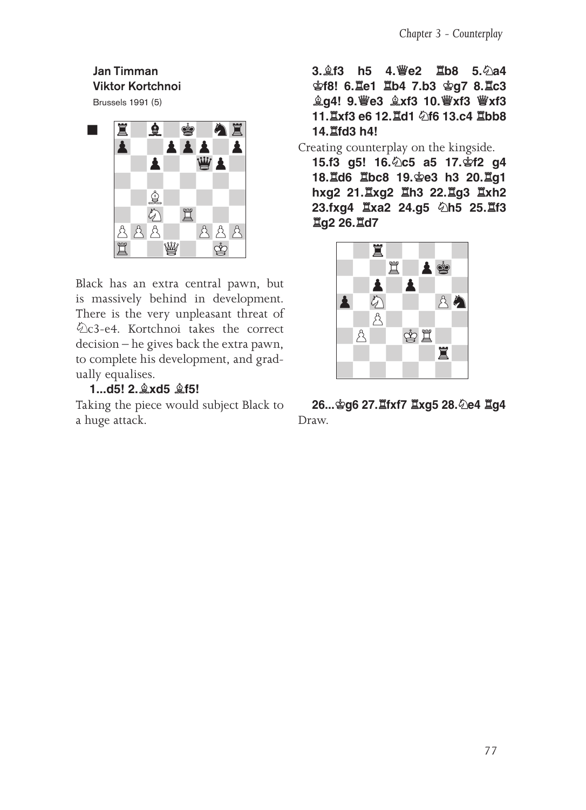### Jan Timman Viktor Kortchnoi

Brussels 1991 (5)



Black has an extra central pawn, but is massively behind in development. There is the very unpleasant threat of ♘c3-e4. Kortchnoi takes the correct decision – he gives back the extra pawn, to complete his development, and gradually equalises.

#### **1...d5! 2.♗xd5 ♗f5!**

Taking the piece would subject Black to a huge attack.

**3.♗f3 h5 4.♕e2 ♖b8 5.♘a4 ♔f8! 6.♖e1 ♖b4 7.b3 ♔g7 8.♖c3 ♗g4! 9.♕e3 ♗xf3 10.♕xf3 ♕xf3 11.♖xf3 e6 12.♖d1 ♘f6 13.c4 ♖bb8 14.♖fd3 h4!**

Creating counterplay on the kingside.

**15.f3 g5! 16.♘c5 a5 17.♔f2 g4 18.♖d6 ♖bc8 19.♔e3 h3 20.♖g1 hxg2 21.♖xg2 ♖h3 22.♖g3 ♖xh2 23.fxg4 ♖xa2 24.g5 ♘h5 25.♖f3 ♖g2 26.♖d7** 



**26...♔g6 27.♖fxf7 ♖xg5 28.♘e4 ♖g4** Draw.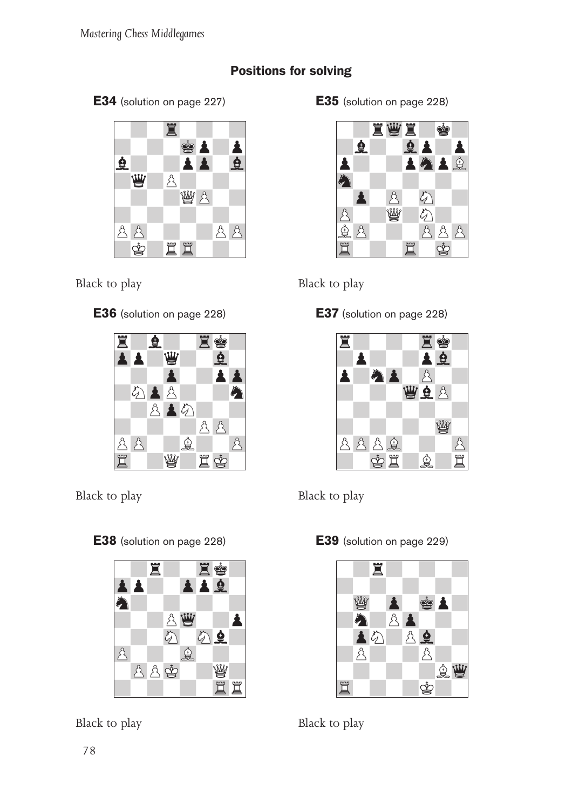# **Positions for solving**

**E34** (solution on page 227)



Black to play

**E36** (solution on page 228)



Black to play

# **E38** (solution on page 228)



Black to play

**E35** (solution on page 228)



Black to play

**E37** (solution on page 228)



Black to play

# **E39** (solution on page 229)



Black to play